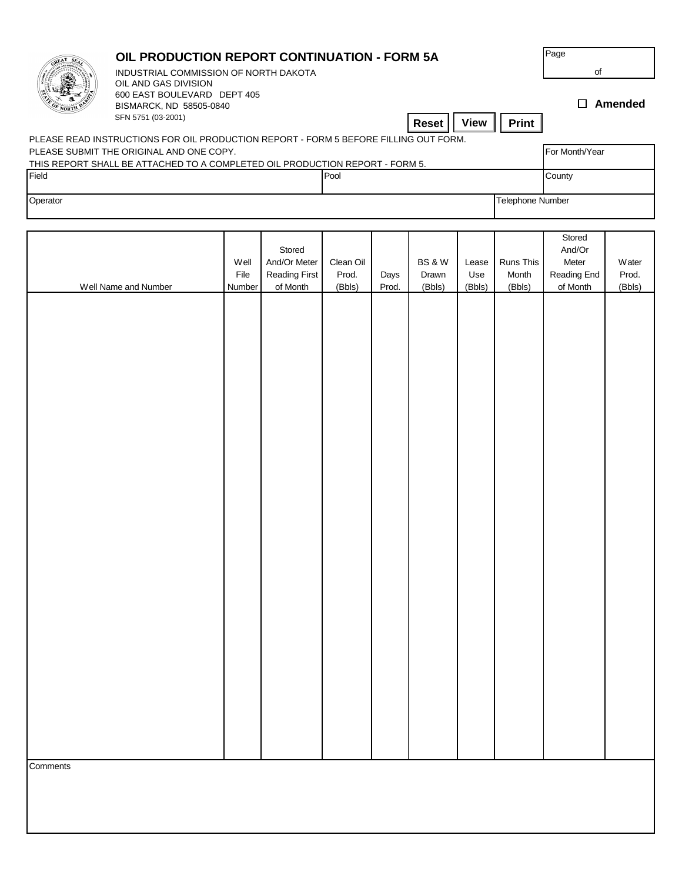|                                                                                                                                  | OIL PRODUCTION REPORT CONTINUATION - FORM 5A<br>INDUSTRIAL COMMISSION OF NORTH DAKOTA<br>OIL AND GAS DIVISION |                        |                                                     |                              |               |                                      |                        |                              | Page<br>of                                           |                          |  |
|----------------------------------------------------------------------------------------------------------------------------------|---------------------------------------------------------------------------------------------------------------|------------------------|-----------------------------------------------------|------------------------------|---------------|--------------------------------------|------------------------|------------------------------|------------------------------------------------------|--------------------------|--|
|                                                                                                                                  | 600 EAST BOULEVARD DEPT 405<br>BISMARCK, ND 58505-0840<br>SFN 5751 (03-2001)<br><b>View</b><br>Print<br>Reset |                        |                                                     |                              |               |                                      |                        |                              | $\Box$ Amended                                       |                          |  |
| PLEASE READ INSTRUCTIONS FOR OIL PRODUCTION REPORT - FORM 5 BEFORE FILLING OUT FORM.<br>PLEASE SUBMIT THE ORIGINAL AND ONE COPY. |                                                                                                               |                        |                                                     |                              |               |                                      |                        |                              |                                                      | For Month/Year           |  |
| THIS REPORT SHALL BE ATTACHED TO A COMPLETED OIL PRODUCTION REPORT - FORM 5.<br>Field                                            |                                                                                                               |                        |                                                     | Pool                         |               |                                      |                        |                              | County                                               |                          |  |
| Operator                                                                                                                         |                                                                                                               |                        |                                                     |                              |               |                                      |                        |                              | Telephone Number                                     |                          |  |
|                                                                                                                                  |                                                                                                               |                        |                                                     |                              |               |                                      |                        |                              |                                                      |                          |  |
|                                                                                                                                  | Well Name and Number                                                                                          | Well<br>File<br>Number | Stored<br>And/Or Meter<br>Reading First<br>of Month | Clean Oil<br>Prod.<br>(Bbls) | Days<br>Prod. | <b>BS &amp; W</b><br>Drawn<br>(Bbls) | Lease<br>Use<br>(Bbls) | Runs This<br>Month<br>(Bbls) | Stored<br>And/Or<br>Meter<br>Reading End<br>of Month | Water<br>Prod.<br>(Bbls) |  |
|                                                                                                                                  |                                                                                                               |                        |                                                     |                              |               |                                      |                        |                              |                                                      |                          |  |
|                                                                                                                                  |                                                                                                               |                        |                                                     |                              |               |                                      |                        |                              |                                                      |                          |  |
|                                                                                                                                  |                                                                                                               |                        |                                                     |                              |               |                                      |                        |                              |                                                      |                          |  |
|                                                                                                                                  |                                                                                                               |                        |                                                     |                              |               |                                      |                        |                              |                                                      |                          |  |
|                                                                                                                                  |                                                                                                               |                        |                                                     |                              |               |                                      |                        |                              |                                                      |                          |  |
|                                                                                                                                  |                                                                                                               |                        |                                                     |                              |               |                                      |                        |                              |                                                      |                          |  |
|                                                                                                                                  |                                                                                                               |                        |                                                     |                              |               |                                      |                        |                              |                                                      |                          |  |
|                                                                                                                                  |                                                                                                               |                        |                                                     |                              |               |                                      |                        |                              |                                                      |                          |  |
|                                                                                                                                  |                                                                                                               |                        |                                                     |                              |               |                                      |                        |                              |                                                      |                          |  |
|                                                                                                                                  |                                                                                                               |                        |                                                     |                              |               |                                      |                        |                              |                                                      |                          |  |
|                                                                                                                                  |                                                                                                               |                        |                                                     |                              |               |                                      |                        |                              |                                                      |                          |  |
|                                                                                                                                  |                                                                                                               |                        |                                                     |                              |               |                                      |                        |                              |                                                      |                          |  |
|                                                                                                                                  |                                                                                                               |                        |                                                     |                              |               |                                      |                        |                              |                                                      |                          |  |
|                                                                                                                                  |                                                                                                               |                        |                                                     |                              |               |                                      |                        |                              |                                                      |                          |  |
| Comments                                                                                                                         |                                                                                                               |                        |                                                     |                              |               |                                      |                        |                              |                                                      |                          |  |
|                                                                                                                                  |                                                                                                               |                        |                                                     |                              |               |                                      |                        |                              |                                                      |                          |  |
|                                                                                                                                  |                                                                                                               |                        |                                                     |                              |               |                                      |                        |                              |                                                      |                          |  |